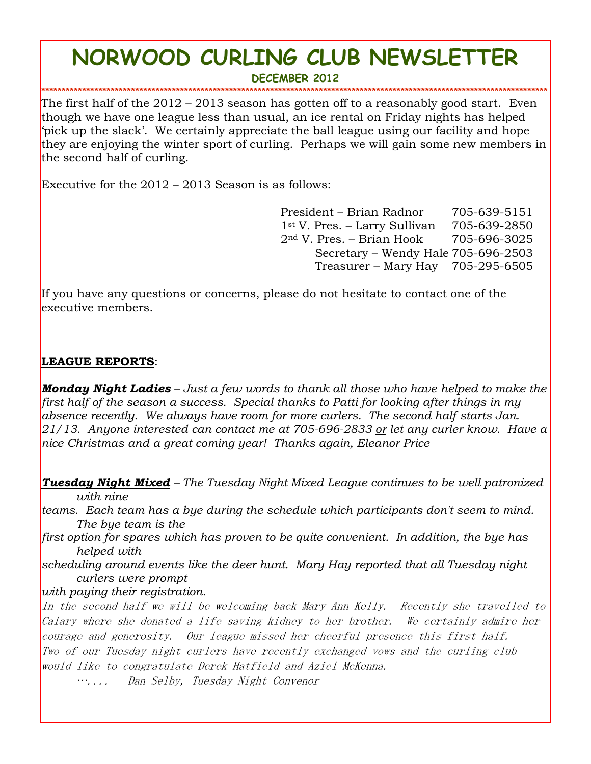# **NORWOOD CURLING CLUB NEWSLETTER**

**DECEMBER 2012**

**\*\*\*\*\*\*\*\*\*\*\*\*\*\*\*\*\*\*\*\*\*\*\*\*\*\*\*\*\*\*\*\*\*\*\*\*\*\*\*\*\*\*\*\*\*\*\*\*\*\*\*\*\*\*\*\*\*\*\*\*\*\*\*\*\*\*\*\*\*\*\*\*\*\*\*\*\*\*\*\*\*\*\*\*\*\*\*\*\*\*\*\*\*\*\*\*\*\*\*\*\*\*\*\*\*\*\*\*\*\*\*\*\*\*\*\*\*\*\*\*\*\*\*\*** The first half of the 2012 – 2013 season has gotten off to a reasonably good start. Even though we have one league less than usual, an ice rental on Friday nights has helped 'pick up the slack'. We certainly appreciate the ball league using our facility and hope they are enjoying the winter sport of curling. Perhaps we will gain some new members in the second half of curling.

Executive for the 2012 – 2013 Season is as follows:

President – Brian Radnor 705-639-5151 1st V. Pres. – Larry Sullivan 705-639-2850 2nd V. Pres. – Brian Hook 705-696-3025 Secretary – Wendy Hale 705-696-2503 Treasurer – Mary Hay 705-295-6505

If you have any questions or concerns, please do not hesitate to contact one of the executive members.

#### **LEAGUE REPORTS**:

*Monday Night Ladies – Just a few words to thank all those who have helped to make the first half of the season a success. Special thanks to Patti for looking after things in my absence recently. We always have room for more curlers. The second half starts Jan. 21/13. Anyone interested can contact me at 705-696-2833 or let any curler know. Have a nice Christmas and a great coming year! Thanks again, Eleanor Price* 

*Tuesday Night Mixed – The Tuesday Night Mixed League continues to be well patronized with nine* 

*teams. Each team has a bye during the schedule which participants don't seem to mind. The bye team is the* 

*first option for spares which has proven to be quite convenient. In addition, the bye has helped with* 

*scheduling around events like the deer hunt. Mary Hay reported that all Tuesday night curlers were prompt* 

*with paying their registration.*

In the second half we will be welcoming back Mary Ann Kelly. Recently she travelled to Calary where she donated a life saving kidney to her brother. We certainly admire her courage and generosity. Our league missed her cheerful presence this first half. Two of our Tuesday night curlers have recently exchanged vows and the curling club would like to congratulate Derek Hatfield and Aziel McKenna.

….... Dan Selby, Tuesday Night Convenor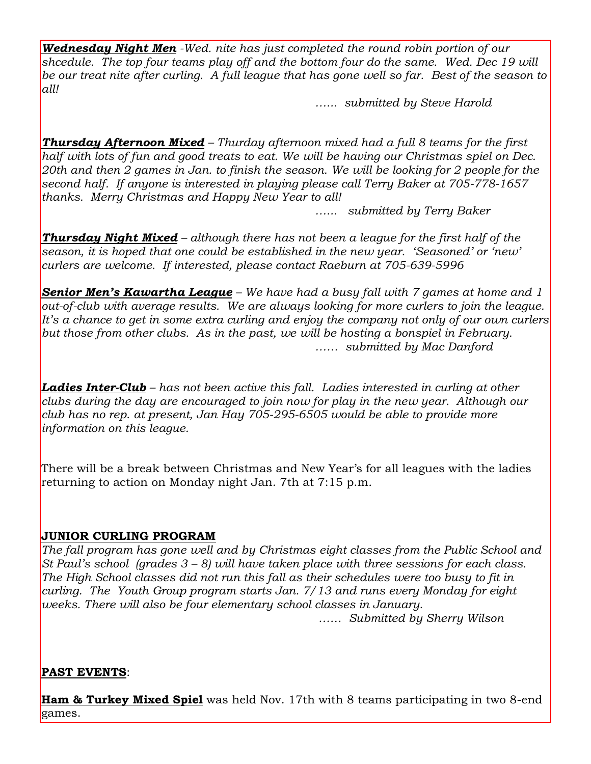*Wednesday Night Men -Wed. nite has just completed the round robin portion of our shcedule. The top four teams play off and the bottom four do the same. Wed. Dec 19 will be our treat nite after curling. A full league that has gone well so far. Best of the season to all!*

*…... submitted by Steve Harold*

*Thursday Afternoon Mixed – Thurday afternoon mixed had a full 8 teams for the first half with lots of fun and good treats to eat. We will be having our Christmas spiel on Dec. 20th and then 2 games in Jan. to finish the season. We will be looking for 2 people for the second half. If anyone is interested in playing please call Terry Baker at 705-778-1657 thanks. Merry Christmas and Happy New Year to all!*

*…... submitted by Terry Baker*

*Thursday Night Mixed – although there has not been a league for the first half of the season, it is hoped that one could be established in the new year. 'Seasoned' or 'new' curlers are welcome. If interested, please contact Raeburn at 705-639-5996*

*Senior Men's Kawartha League – We have had a busy fall with 7 games at home and 1 out-of-club with average results. We are always looking for more curlers to join the league. It's a chance to get in some extra curling and enjoy the company not only of our own curlers but those from other clubs. As in the past, we will be hosting a bonspiel in February. …… submitted by Mac Danford*

**Ladies Inter-Club** – has not been active this fall. Ladies interested in curling at other *clubs during the day are encouraged to join now for play in the new year. Although our club has no rep. at present, Jan Hay 705-295-6505 would be able to provide more information on this league.*

There will be a break between Christmas and New Year's for all leagues with the ladies returning to action on Monday night Jan. 7th at 7:15 p.m.

### **JUNIOR CURLING PROGRAM**

*The fall program has gone well and by Christmas eight classes from the Public School and St Paul's school (grades 3 – 8) will have taken place with three sessions for each class. The High School classes did not run this fall as their schedules were too busy to fit in curling. The Youth Group program starts Jan. 7/13 and runs every Monday for eight weeks. There will also be four elementary school classes in January.*

*…… Submitted by Sherry Wilson* 

#### **PAST EVENTS**:

**Ham & Turkey Mixed Spiel** was held Nov. 17th with 8 teams participating in two 8-end games.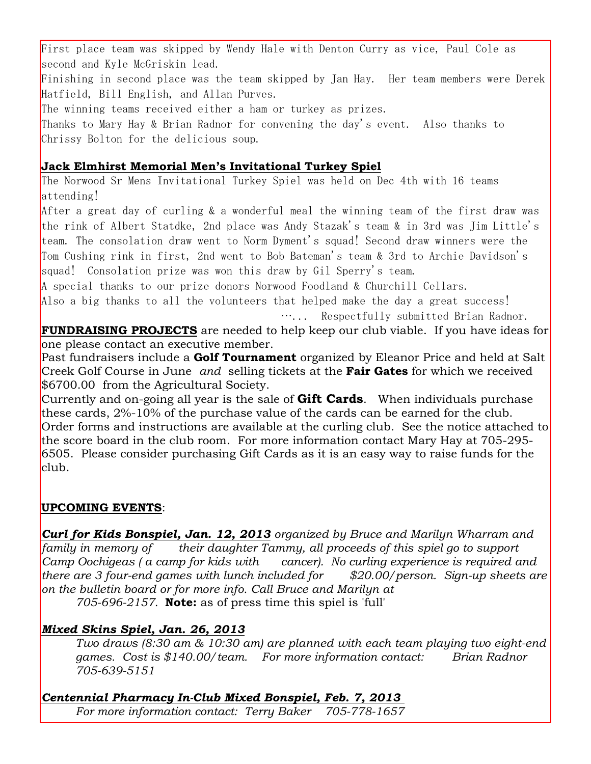First place team was skipped by Wendy Hale with Denton Curry as vice, Paul Cole as second and Kyle McGriskin lead.

Finishing in second place was the team skipped by Jan Hay. Her team members were Derek Hatfield, Bill English, and Allan Purves.

The winning teams received either a ham or turkey as prizes.

Thanks to Mary Hay & Brian Radnor for convening the day's event. Also thanks to Chrissy Bolton for the delicious soup.

## **Jack Elmhirst Memorial Men's Invitational Turkey Spiel**

The Norwood Sr Mens Invitational Turkey Spiel was held on Dec 4th with 16 teams attending!

After a great day of curling & a wonderful meal the winning team of the first draw was the rink of Albert Statdke, 2nd place was Andy Stazak's team & in 3rd was Jim Little's team. The consolation draw went to Norm Dyment's squad! Second draw winners were the Tom Cushing rink in first, 2nd went to Bob Bateman's team & 3rd to Archie Davidson's squad! Consolation prize was won this draw by Gil Sperry's team.

A special thanks to our prize donors Norwood Foodland & Churchill Cellars.

Also a big thanks to all the volunteers that helped make the day a great success!

…... Respectfully submitted Brian Radnor.

**FUNDRAISING PROJECTS** are needed to help keep our club viable. If you have ideas for one please contact an executive member.

Past fundraisers include a **Golf Tournament** organized by Eleanor Price and held at Salt Creek Golf Course in June *and* selling tickets at the **Fair Gates** for which we received \$6700.00 from the Agricultural Society.

Currently and on-going all year is the sale of **Gift Cards**. When individuals purchase these cards, 2%-10% of the purchase value of the cards can be earned for the club. Order forms and instructions are available at the curling club. See the notice attached to the score board in the club room. For more information contact Mary Hay at 705-295- 6505. Please consider purchasing Gift Cards as it is an easy way to raise funds for the club.

### **UPCOMING EVENTS**:

*Curl for Kids Bonspiel, Jan. 12, 2013 organized by Bruce and Marilyn Wharram and*  family in memory of their daughter Tammy, all proceeds of this spiel go to support *Camp Oochigeas ( a camp for kids with cancer). No curling experience is required and there are 3 four-end games with lunch included for \$20.00/person. Sign-up sheets are on the bulletin board or for more info. Call Bruce and Marilyn at*

*705-696-2157.* **Note:** as of press time this spiel is 'full'

## *Mixed Skins Spiel, Jan. 26, 2013*

*Two draws (8:30 am & 10:30 am) are planned with each team playing two eight-end games. Cost is \$140.00/team. For more information contact: Brian Radnor 705-639-5151*

*Centennial Pharmacy In-Club Mixed Bonspiel, Feb. 7, 2013 For more information contact: Terry Baker 705-778-1657*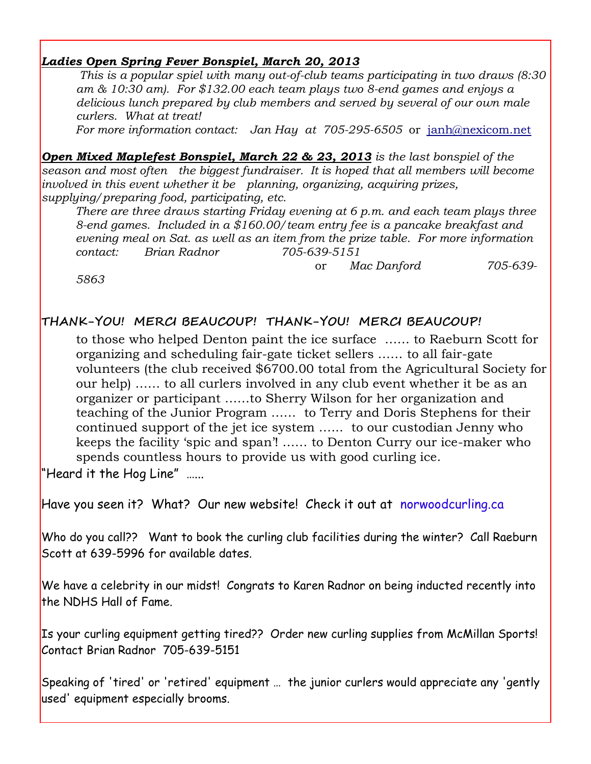#### *Ladies Open Spring Fever Bonspiel, March 20, 2013*

*This is a popular spiel with many out-of-club teams participating in two draws (8:30 am & 10:30 am). For \$132.00 each team plays two 8-end games and enjoys a delicious lunch prepared by club members and served by several of our own male curlers. What at treat!*

*For more information contact: Jan Hay at 705-295-6505* or[janh@nexicom.net](mailto:janh@nexicom.net)

*Open Mixed Maplefest Bonspiel, March 22 & 23, 2013 is the last bonspiel of the season and most often the biggest fundraiser. It is hoped that all members will become involved in this event whether it be planning, organizing, acquiring prizes, supplying/preparing food, participating, etc.*

*There are three draws starting Friday evening at 6 p.m. and each team plays three 8-end games. Included in a \$160.00/team entry fee is a pancake breakfast and evening meal on Sat. as well as an item from the prize table. For more information contact: Brian Radnor 705-639-5151*

or *Mac Danford 705-639-*

*5863*

## **THANK-YOU! MERCI BEAUCOUP! THANK-YOU! MERCI BEAUCOUP!**

to those who helped Denton paint the ice surface …… to Raeburn Scott for organizing and scheduling fair-gate ticket sellers …… to all fair-gate volunteers (the club received \$6700.00 total from the Agricultural Society for our help) …… to all curlers involved in any club event whether it be as an organizer or participant ……to Sherry Wilson for her organization and teaching of the Junior Program …… to Terry and Doris Stephens for their continued support of the jet ice system …... to our custodian Jenny who keeps the facility 'spic and span'! …… to Denton Curry our ice-maker who spends countless hours to provide us with good curling ice.

"Heard it the Hog Line" …...

Have you seen it? What? Our new website! Check it out at norwoodcurling.ca

Who do you call?? Want to book the curling club facilities during the winter? Call Raeburn Scott at 639-5996 for available dates.

We have a celebrity in our midst! Congrats to Karen Radnor on being inducted recently into the NDHS Hall of Fame.

Is your curling equipment getting tired?? Order new curling supplies from McMillan Sports! Contact Brian Radnor 705-639-5151

Speaking of 'tired' or 'retired' equipment … the junior curlers would appreciate any 'gently used' equipment especially brooms.